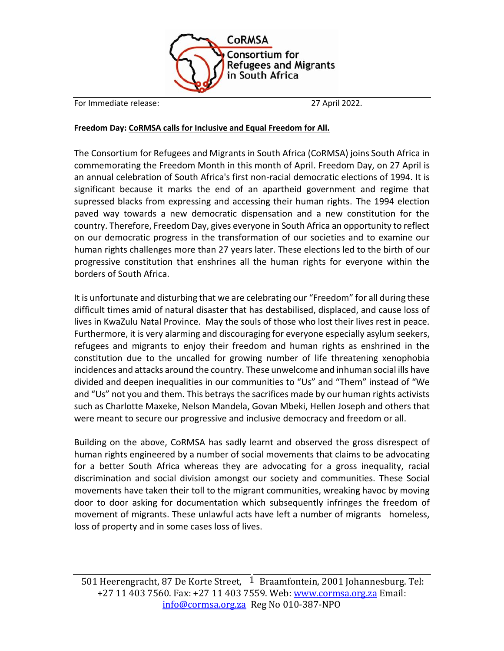

For Immediate release: 27 April 2022.

## **Freedom Day: CoRMSA calls for Inclusive and Equal Freedom for All.**

The Consortium for Refugees and Migrants in South Africa (CoRMSA) joins South Africa in commemorating the Freedom Month in this month of April. Freedom Day, on 27 April is an annual celebration of South Africa's first non-racial democratic elections of 1994. It is significant because it marks the end of an apartheid government and regime that supressed blacks from expressing and accessing their human rights. The 1994 election paved way towards a new democratic dispensation and a new constitution for the country. Therefore, Freedom Day, gives everyone in South Africa an opportunity to reflect on our democratic progress in the transformation of our societies and to examine our human rights challenges more than 27 years later. These elections led to the birth of our progressive constitution that enshrines all the human rights for everyone within the borders of South Africa.

It is unfortunate and disturbing that we are celebrating our "Freedom" for all during these difficult times amid of natural disaster that has destabilised, displaced, and cause loss of lives in KwaZulu Natal Province. May the souls of those who lost their lives rest in peace. Furthermore, it is very alarming and discouraging for everyone especially asylum seekers, refugees and migrants to enjoy their freedom and human rights as enshrined in the constitution due to the uncalled for growing number of life threatening xenophobia incidences and attacks around the country. These unwelcome and inhuman social ills have divided and deepen inequalities in our communities to "Us" and "Them" instead of "We and "Us" not you and them. This betrays the sacrifices made by our human rights activists such as Charlotte Maxeke, Nelson Mandela, Govan Mbeki, Hellen Joseph and others that were meant to secure our progressive and inclusive democracy and freedom or all.

Building on the above, CoRMSA has sadly learnt and observed the gross disrespect of human rights engineered by a number of social movements that claims to be advocating for a better South Africa whereas they are advocating for a gross inequality, racial discrimination and social division amongst our society and communities. These Social movements have taken their toll to the migrant communities, wreaking havoc by moving door to door asking for documentation which subsequently infringes the freedom of movement of migrants. These unlawful acts have left a number of migrants homeless, loss of property and in some cases loss of lives.

501 Heerengracht, 87 De Korte Street,  $1$  Braamfontein, 2001 Johannesburg. Tel: +27 11 403 7560. Fax: +27 11 403 7559. Web: [www.cormsa.org.za](http://www.cormsa.org.za/) Email: [info@cormsa.org.za](mailto:info@cormsa.org.za) Reg No 010-387-NPO